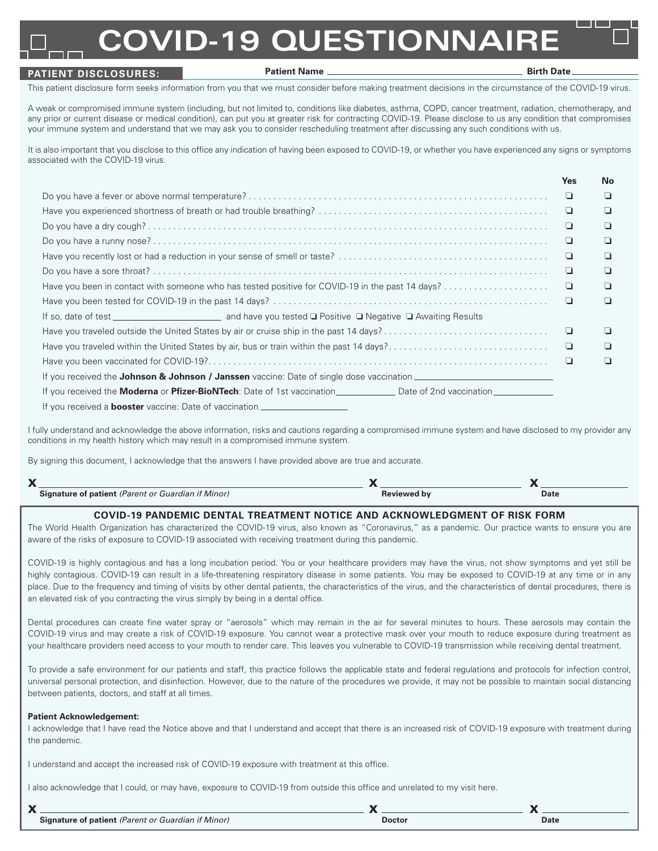# **COVID-19 QUESTIONNAIR**

## **PATIENT DISCLOSURES:**

#### Patient Name **Birth Date**

This patient disclosure form seeks information from you that we must consider before making treatment decisions in the circumstance of the COVID-19 virus.

A weak or compromised immune system (including, but not limited to, conditions like diabetes, asthma, COPD, cancer treatment, radiation, chemotherapy, and any prior or current disease or medical condition), can put you at greater risk for contracting COVID-19. Please disclose to us any condition that compromises your immune system and understand that we may ask you to consider rescheduling treatment after discussing any such conditions with us.

It is also important that you disclose to this office any indication of having been exposed to COVID-19, or whether you have experienced any signs or symptoms associated with the COVID-19 virus.

|                                                                                                     | <b>Yes</b> | No |
|-----------------------------------------------------------------------------------------------------|------------|----|
|                                                                                                     | ⊐          | ப  |
|                                                                                                     | ❏          | ш  |
|                                                                                                     | ⊔          | ⊔  |
|                                                                                                     | ❏          | ப  |
|                                                                                                     | ч          | ப  |
|                                                                                                     | ч          | ப  |
| Have you been in contact with someone who has tested positive for COVID-19 in the past 14 days?     | ▫          | ◘  |
|                                                                                                     | ❏          | H  |
|                                                                                                     |            |    |
|                                                                                                     | ч          | □  |
| Have you traveled within the United States by air, bus or train within the past 14 days?            | ⊐          | ◘  |
|                                                                                                     | ⊔          | П  |
| If you received the <b>Johnson &amp; Johnson / Janssen</b> vaccine: Date of single dose vaccination |            |    |
|                                                                                                     |            |    |
| If you received a <b>booster</b> vaccine: Date of vaccination ________________________              |            |    |

I fully understand and acknowledge the above information, risks and cautions regarding a compromised immune system and have disclosed to my provider any conditions in my health history which may result in a compromised immune system.

By signing this document, I acknowledge that the answers I have provided above are true and accurate.

| $\mathbf{v}$<br>↗ |                                                           |                    |      |  |
|-------------------|-----------------------------------------------------------|--------------------|------|--|
|                   | <b>Signature of patient</b> (Parent or Guardian if Minor) | <b>Reviewed by</b> | Date |  |

## **COVID-19 PANDEMIC DENTAL TREATMENT NOTICE AND ACKNOWLEDGMENT OF RISK FORM**

The World Health Organization has characterized the COVID-19 virus, also known as "Coronavirus," as a pandemic. Our practice wants to ensure you are aware of the risks of exposure to COVID-19 associated with receiving treatment during this pandemic.

COVID-19 is highly contagious and has a long incubation period. You or your healthcare providers may have the virus, not show symptoms and yet still be highly contagious. COVID-19 can result in a life-threatening respiratory disease in some patients. You may be exposed to COVID-19 at any time or in any place. Due to the frequency and timing of visits by other dental patients, the characteristics of the virus, and the characteristics of dental procedures, there is an elevated risk of you contracting the virus simply by being in a dental office.

Dental procedures can create fine water spray or "aerosols" which may remain in the air for several minutes to hours. These aerosols may contain the COVID-19 virus and may create a risk of COVID-19 exposure. You cannot wear a protective mask over your mouth to reduce exposure during treatment as your healthcare providers need access to your mouth to render care. This leaves you vulnerable to COVID-19 transmission while receiving dental treatment.

To provide a safe environment for our patients and staff, this practice follows the applicable state and federal regulations and protocols for infection control, universal personal protection, and disinfection. However, due to the nature of the procedures we provide, it may not be possible to maintain social distancing between patients, doctors, and staff at all times.

## **Patient Acknowledgement:**

I acknowledge that I have read the Notice above and that I understand and accept that there is an increased risk of COVID-19 exposure with treatment during the pandemic.

I understand and accept the increased risk of COVID-19 exposure with treatment at this office.

I also acknowledge that I could, or may have, exposure to COVID-19 from outside this office and unrelated to my visit here.

| Signature of patient (Parent or Guardian if Minor) | Doctor | Date |
|----------------------------------------------------|--------|------|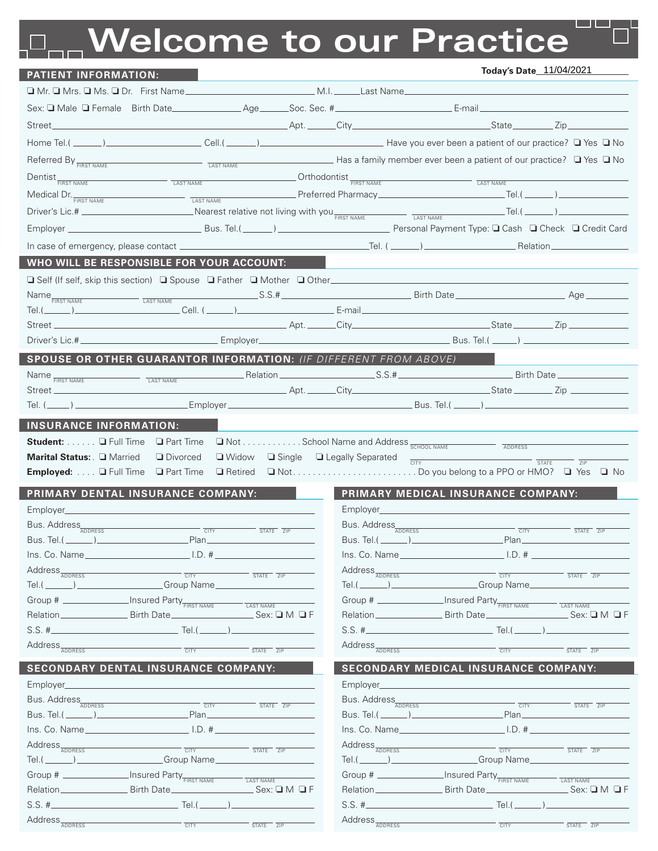# **Welcome to our Practice**

| <b>PATIENT INFORMATION:</b>                                                                                                                                         |                                                                                                                                                                                                                                |                                                                                                                                                                                                                                                                                                                  | Today's Date_11/04/2021                                                                                                                                                                                                              |                                                   |
|---------------------------------------------------------------------------------------------------------------------------------------------------------------------|--------------------------------------------------------------------------------------------------------------------------------------------------------------------------------------------------------------------------------|------------------------------------------------------------------------------------------------------------------------------------------------------------------------------------------------------------------------------------------------------------------------------------------------------------------|--------------------------------------------------------------------------------------------------------------------------------------------------------------------------------------------------------------------------------------|---------------------------------------------------|
|                                                                                                                                                                     |                                                                                                                                                                                                                                |                                                                                                                                                                                                                                                                                                                  |                                                                                                                                                                                                                                      |                                                   |
| Sex: I Male I Female Birth Date Age Age Soc. Sec. # Age Example 2014 [2014]                                                                                         |                                                                                                                                                                                                                                |                                                                                                                                                                                                                                                                                                                  |                                                                                                                                                                                                                                      |                                                   |
|                                                                                                                                                                     |                                                                                                                                                                                                                                |                                                                                                                                                                                                                                                                                                                  |                                                                                                                                                                                                                                      |                                                   |
|                                                                                                                                                                     |                                                                                                                                                                                                                                |                                                                                                                                                                                                                                                                                                                  |                                                                                                                                                                                                                                      |                                                   |
| Referred By <b>FIRST NAME</b>                                                                                                                                       | Example of the contract of the contract of the contract of the contract of the contract of the contract of the contract of the contract of the contract of the contract of the contract of the contract of the contract of the |                                                                                                                                                                                                                                                                                                                  | ■ Plas a family member ever been a patient of our practice? □ Yes □ No                                                                                                                                                               |                                                   |
|                                                                                                                                                                     |                                                                                                                                                                                                                                |                                                                                                                                                                                                                                                                                                                  |                                                                                                                                                                                                                                      |                                                   |
| $\textit{Dentist}_{\overline{\textit{First name}}}\textit{)}\xspace_{\textit{LAST NAME}}\textit{)}\textit{Cathodontist}_{\overline{\textit{FIRST NAME}}}\textit{)}$ |                                                                                                                                                                                                                                |                                                                                                                                                                                                                                                                                                                  | $\overline{LAST NAME}$                                                                                                                                                                                                               |                                                   |
| Medical Dr. <b>FIRST NAME</b>                                                                                                                                       |                                                                                                                                                                                                                                |                                                                                                                                                                                                                                                                                                                  |                                                                                                                                                                                                                                      |                                                   |
|                                                                                                                                                                     |                                                                                                                                                                                                                                |                                                                                                                                                                                                                                                                                                                  |                                                                                                                                                                                                                                      |                                                   |
|                                                                                                                                                                     |                                                                                                                                                                                                                                |                                                                                                                                                                                                                                                                                                                  |                                                                                                                                                                                                                                      |                                                   |
|                                                                                                                                                                     |                                                                                                                                                                                                                                |                                                                                                                                                                                                                                                                                                                  |                                                                                                                                                                                                                                      |                                                   |
| WHO WILL BE RESPONSIBLE FOR YOUR ACCOUNT:                                                                                                                           |                                                                                                                                                                                                                                |                                                                                                                                                                                                                                                                                                                  |                                                                                                                                                                                                                                      |                                                   |
| □ Self (If self, skip this section) □ Spouse □ Father □ Mother □ Other_____________________________                                                                 |                                                                                                                                                                                                                                |                                                                                                                                                                                                                                                                                                                  |                                                                                                                                                                                                                                      |                                                   |
| Name <sub>FIRST NAME</sub><br>LAST NAME<br>$Tel.(\_\_\_\_))$                                                                                                        |                                                                                                                                                                                                                                |                                                                                                                                                                                                                                                                                                                  | $\blacksquare$ Cell. ( $\blacksquare$ ) $\blacksquare$ E-mail $\blacksquare$ E-mail $\blacksquare$                                                                                                                                   |                                                   |
|                                                                                                                                                                     |                                                                                                                                                                                                                                |                                                                                                                                                                                                                                                                                                                  |                                                                                                                                                                                                                                      |                                                   |
|                                                                                                                                                                     |                                                                                                                                                                                                                                |                                                                                                                                                                                                                                                                                                                  |                                                                                                                                                                                                                                      |                                                   |
| SPOUSE OR OTHER GUARANTOR INFORMATION: (IF DIFFERENT FROM ABOVE)                                                                                                    |                                                                                                                                                                                                                                |                                                                                                                                                                                                                                                                                                                  |                                                                                                                                                                                                                                      |                                                   |
| Name FIRST NAME                                                                                                                                                     |                                                                                                                                                                                                                                |                                                                                                                                                                                                                                                                                                                  |                                                                                                                                                                                                                                      |                                                   |
| LAST NAME<br>Street _________________                                                                                                                               |                                                                                                                                                                                                                                |                                                                                                                                                                                                                                                                                                                  | <u>and the contract of the contract of the contract of the contract of the contract of the contract of the contract of the contract of the contract of the contract of the contract of the contract of the contract of the contr</u> |                                                   |
| Tel. (______) __                                                                                                                                                    | Employer                                                                                                                                                                                                                       |                                                                                                                                                                                                                                                                                                                  |                                                                                                                                                                                                                                      |                                                   |
| <b>INSURANCE INFORMATION:</b>                                                                                                                                       |                                                                                                                                                                                                                                |                                                                                                                                                                                                                                                                                                                  |                                                                                                                                                                                                                                      |                                                   |
| Student: Q Full Time<br><b>Q</b> Part Time                                                                                                                          |                                                                                                                                                                                                                                | $\square$ Not School Name and Address $\frac{}{\text{SCHOOL NAME}}$                                                                                                                                                                                                                                              |                                                                                                                                                                                                                                      |                                                   |
| Marital Status: Q Married<br><b>Divorced</b>                                                                                                                        | $\Box$ Widow                                                                                                                                                                                                                   | □ Single □ Legally Separated<br>CITY                                                                                                                                                                                                                                                                             | <b>STATE</b>                                                                                                                                                                                                                         | ZIP                                               |
| <b>Employed: J</b> Full Time <b>J</b> Part Time                                                                                                                     |                                                                                                                                                                                                                                |                                                                                                                                                                                                                                                                                                                  |                                                                                                                                                                                                                                      |                                                   |
| PRIMARY DENTAL INSURANCE COMPANY:                                                                                                                                   |                                                                                                                                                                                                                                |                                                                                                                                                                                                                                                                                                                  | PRIMARY MEDICAL INSURANCE COMPANY:                                                                                                                                                                                                   |                                                   |
| Employer________________                                                                                                                                            |                                                                                                                                                                                                                                |                                                                                                                                                                                                                                                                                                                  |                                                                                                                                                                                                                                      |                                                   |
| Bus. Address                                                                                                                                                        | <b>CITY</b><br>STATE ZIP                                                                                                                                                                                                       | Bus. Address                                                                                                                                                                                                                                                                                                     | <b>CITY</b>                                                                                                                                                                                                                          |                                                   |
| Bus. Tel.( _______ ) ____                                                                                                                                           | Plan_                                                                                                                                                                                                                          | Bus. Tel.( $\qquad$ )                                                                                                                                                                                                                                                                                            | Plan                                                                                                                                                                                                                                 | STATE ZIP                                         |
| Ins. Co. Name 1.D. #                                                                                                                                                |                                                                                                                                                                                                                                |                                                                                                                                                                                                                                                                                                                  | Ins. Co. Name 1.D. #                                                                                                                                                                                                                 |                                                   |
| Address <sub>ADDRESS</sub>                                                                                                                                          | <b>CITY</b><br>$\overline{\text{STATE}}$ $\overline{\text{ZIP}}$                                                                                                                                                               | Address <sub>ADDRESS</sub>                                                                                                                                                                                                                                                                                       | CITY                                                                                                                                                                                                                                 | $\overline{\text{STATE}}$ $\overline{\text{ZIP}}$ |
| Group Name<br>$Tel.(\_\_\_\_))$                                                                                                                                     |                                                                                                                                                                                                                                |                                                                                                                                                                                                                                                                                                                  | Tel.(________)____________________Group Name____                                                                                                                                                                                     |                                                   |
| Group # _________________Insured Party FIRST NAME                                                                                                                   | LAST NAME                                                                                                                                                                                                                      | Group # _________________Insured Party FIRST NAME                                                                                                                                                                                                                                                                |                                                                                                                                                                                                                                      | LAST NAME                                         |
| Relation _______________________ Birth Date __________________                                                                                                      | $\rule{1em}{0.15mm}$ $\blacksquare$ $\blacksquare$ $\blacksquare$ $\blacksquare$ $\blacksquare$ $\blacksquare$ $\blacksquare$ $\blacksquare$ $\blacksquare$ $\blacksquare$                                                     |                                                                                                                                                                                                                                                                                                                  | Relation ________________________Birth Date _________________________________Sex: Q M Q F                                                                                                                                            |                                                   |
|                                                                                                                                                                     |                                                                                                                                                                                                                                |                                                                                                                                                                                                                                                                                                                  | $Tel.(\_\_\_\_\_))$                                                                                                                                                                                                                  |                                                   |
| Address <sub>ADDRESS</sub>                                                                                                                                          | <b>CITY</b><br>STATE ZIP                                                                                                                                                                                                       | Address <sub>ADDRESS</sub>                                                                                                                                                                                                                                                                                       | <b>CITY</b>                                                                                                                                                                                                                          | STATE ZIP                                         |
| <b>SECONDARY DENTAL INSURANCE COMPANY:</b>                                                                                                                          |                                                                                                                                                                                                                                |                                                                                                                                                                                                                                                                                                                  | <b>SECONDARY MEDICAL INSURANCE COMPANY:</b>                                                                                                                                                                                          |                                                   |
| Employer___                                                                                                                                                         |                                                                                                                                                                                                                                | Employer____                                                                                                                                                                                                                                                                                                     |                                                                                                                                                                                                                                      |                                                   |
| Bus. Address                                                                                                                                                        | CITY<br>STATE ZIP                                                                                                                                                                                                              | Bus. Address                                                                                                                                                                                                                                                                                                     | <b>CITY</b>                                                                                                                                                                                                                          | STATE ZIP                                         |
| Bus. Tel.( $\qquad \qquad$ )                                                                                                                                        | Plan                                                                                                                                                                                                                           | Bus. Tel.( $\rule{1em}{0.15mm}$ $\rule{1em}{0.15mm}$ $\rule{1em}{0.15mm}$ $\rule{1em}{0.15mm}$ $\rule{1em}{0.15mm}$ $\rule{1em}{0.15mm}$ $\rule{1em}{0.15mm}$ $\rule{1em}{0.15mm}$ $\rule{1em}{0.15mm}$ $\rule{1em}{0.15mm}$ $\rule{1em}{0.15mm}$ $\rule{1em}{0.15mm}$ $\rule{1em}{0.15mm}$ $\rule{1em}{0.15mm}$ | Plan____                                                                                                                                                                                                                             |                                                   |
|                                                                                                                                                                     | $\Box$ I.D. #                                                                                                                                                                                                                  |                                                                                                                                                                                                                                                                                                                  | $\Box$ I.D. # $\Box$                                                                                                                                                                                                                 |                                                   |
| Address <sub>ADDRESS</sub><br>Group Name<br>$Tel.(\_\_))$                                                                                                           | CITY<br>$\overline{\text{STATE}}$ $\overline{\text{ZIP}}$                                                                                                                                                                      | Address <sub>ADDRESS</sub>                                                                                                                                                                                                                                                                                       | T<br>Tel.(________)______________________Group Name_____                                                                                                                                                                             | $\frac{}{\text{STATE}}$                           |
| Group # ________________Insured Party FIRST NAME                                                                                                                    |                                                                                                                                                                                                                                | Group # _________________Insured Party FIRST NAME                                                                                                                                                                                                                                                                |                                                                                                                                                                                                                                      |                                                   |
|                                                                                                                                                                     | LAST NAME                                                                                                                                                                                                                      |                                                                                                                                                                                                                                                                                                                  |                                                                                                                                                                                                                                      | LAST NAME<br>$Sex: \square M \square F$           |
|                                                                                                                                                                     | Tel. (                                                                                                                                                                                                                         |                                                                                                                                                                                                                                                                                                                  | Tel. (                                                                                                                                                                                                                               |                                                   |
| Address <sub>ADDRESS</sub>                                                                                                                                          | <b>CITY</b><br>STATE ZIP                                                                                                                                                                                                       | Address <sub>ADDRESS</sub>                                                                                                                                                                                                                                                                                       | CITY                                                                                                                                                                                                                                 | STATE ZIP                                         |
|                                                                                                                                                                     |                                                                                                                                                                                                                                |                                                                                                                                                                                                                                                                                                                  |                                                                                                                                                                                                                                      |                                                   |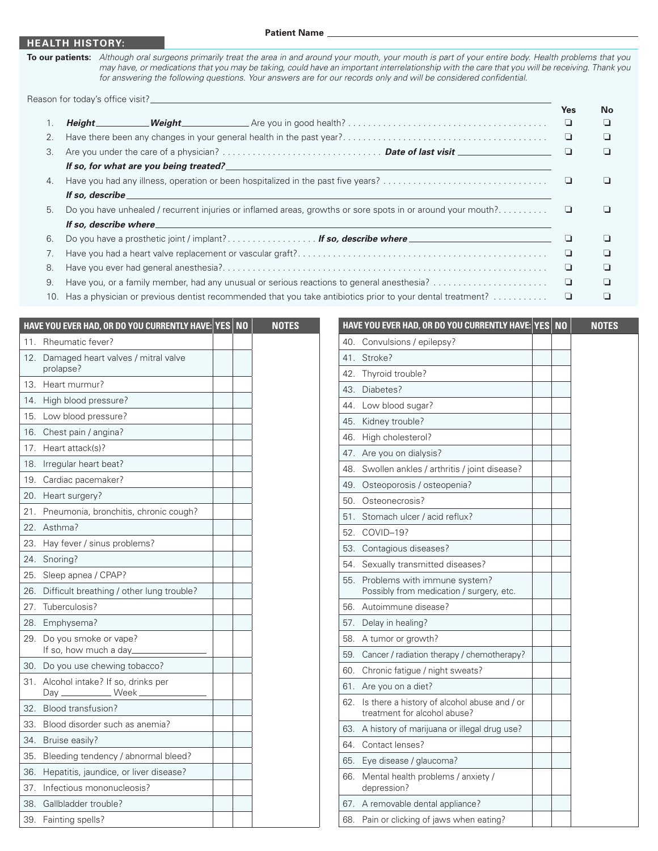#### **HEALTH HISTORY:**

**To our patients:** *Although oral surgeons primarily treat the area in and around your mouth, your mouth is part of your entire body. Health problems that you may have, or medications that you may be taking, could have an important interrelationship with the care that you will be receiving. Thank you for answering the following questions. Your answers are for our records only and will be considered confidential.*

Reason for today's office visit?\_\_

|    |                 |                                                                                                                                                                                                                                | <b>Yes</b> | <b>No</b> |
|----|-----------------|--------------------------------------------------------------------------------------------------------------------------------------------------------------------------------------------------------------------------------|------------|-----------|
|    |                 |                                                                                                                                                                                                                                | └          | ⊔         |
| 2. |                 |                                                                                                                                                                                                                                | └          | ⊔         |
| 3. |                 |                                                                                                                                                                                                                                |            | □         |
|    |                 |                                                                                                                                                                                                                                |            |           |
| 4. |                 |                                                                                                                                                                                                                                |            |           |
|    | If so, describe |                                                                                                                                                                                                                                |            |           |
| 5. |                 |                                                                                                                                                                                                                                |            |           |
|    |                 | If so, describe where the contract of the contract of the contract of the contract of the contract of the contract of the contract of the contract of the contract of the contract of the contract of the contract of the cont |            |           |
| 6. |                 | Do you have a prosthetic joint / implant? If so, describe where                                                                                                                                                                |            | ப         |
|    |                 |                                                                                                                                                                                                                                |            | ⊔         |
| 8. |                 |                                                                                                                                                                                                                                | └          | □         |
| 9. |                 | Have you, or a family member, had any unusual or serious reactions to general anesthesia?                                                                                                                                      | └          | □         |
|    |                 | 10. Has a physician or previous dentist recommended that you take antibiotics prior to your dental treatment?                                                                                                                  |            |           |

|     | HAVE YOU EVER HAD, OR DO YOU CURRENTLY HAVE: YES               | N <sub>0</sub> |
|-----|----------------------------------------------------------------|----------------|
| 11. | Rheumatic fever?                                               |                |
| 12. | Damaged heart valves / mitral valve<br>prolapse?               |                |
| 13. | Heart murmur?                                                  |                |
| 14. | High blood pressure?                                           |                |
| 15. | Low blood pressure?                                            |                |
| 16. | Chest pain / angina?                                           |                |
| 17. | Heart attack(s)?                                               |                |
| 18. | Irregular heart beat?                                          |                |
| 19. | Cardiac pacemaker?                                             |                |
| 20. | Heart surgery?                                                 |                |
| 21. | Pneumonia, bronchitis, chronic cough?                          |                |
| 22. | Asthma?                                                        |                |
| 23. | Hay fever / sinus problems?                                    |                |
| 24. | Snoring?                                                       |                |
| 25. | Sleep apnea / CPAP?                                            |                |
| 26. | Difficult breathing / other lung trouble?                      |                |
| 27. | Tuberculosis?                                                  |                |
| 28. | Emphysema?                                                     |                |
| 29. | Do you smoke or vape?<br>If so, how much a day_                |                |
| 30. | Do you use chewing tobacco?                                    |                |
| 31. | Alcohol intake? If so, drinks per<br>Day ______________ Week _ |                |
| 32. | Blood transfusion?                                             |                |
| 33. | Blood disorder such as anemia?                                 |                |
| 34. | Bruise easily?                                                 |                |
| 35. | Bleeding tendency / abnormal bleed?                            |                |
| 36. | Hepatitis, jaundice, or liver disease?                         |                |
| 37. | Infectious mononucleosis?                                      |                |
| 38. | Gallbladder trouble?                                           |                |
| 39. | Fainting spells?                                               |                |

|     | HAVE YOU EVER HAD, OR DO YOU CURRENTLY HAVE: YES NO                          |  | <b>NOTES</b> |
|-----|------------------------------------------------------------------------------|--|--------------|
| 40. | Convulsions / epilepsy?                                                      |  |              |
| 41. | Stroke?                                                                      |  |              |
| 42. | Thyroid trouble?                                                             |  |              |
| 43. | Diabetes?                                                                    |  |              |
| 44. | Low blood sugar?                                                             |  |              |
| 45. | Kidney trouble?                                                              |  |              |
| 46. | High cholesterol?                                                            |  |              |
| 47. | Are you on dialysis?                                                         |  |              |
| 48. | Swollen ankles / arthritis / joint disease?                                  |  |              |
| 49. | Osteoporosis / osteopenia?                                                   |  |              |
| 50. | Osteonecrosis?                                                               |  |              |
| 51. | Stomach ulcer / acid reflux?                                                 |  |              |
| 52. | COVID-19?                                                                    |  |              |
| 53. | Contagious diseases?                                                         |  |              |
| 54. | Sexually transmitted diseases?                                               |  |              |
| 55. | Problems with immune system?<br>Possibly from medication / surgery, etc.     |  |              |
| 56. | Autoimmune disease?                                                          |  |              |
| 57. | Delay in healing?                                                            |  |              |
| 58. | A tumor or growth?                                                           |  |              |
| 59. | Cancer / radiation therapy / chemotherapy?                                   |  |              |
| 60. | Chronic fatigue / night sweats?                                              |  |              |
| 61. | Are you on a diet?                                                           |  |              |
| 62. | Is there a history of alcohol abuse and / or<br>treatment for alcohol abuse? |  |              |
| 63. | A history of marijuana or illegal drug use?                                  |  |              |
| 64. | Contact lenses?                                                              |  |              |
| 65. | Eye disease / glaucoma?                                                      |  |              |
| 66. | Mental health problems / anxiety /<br>depression?                            |  |              |
| 67. | A removable dental appliance?                                                |  |              |
| 68. | Pain or clicking of jaws when eating?                                        |  |              |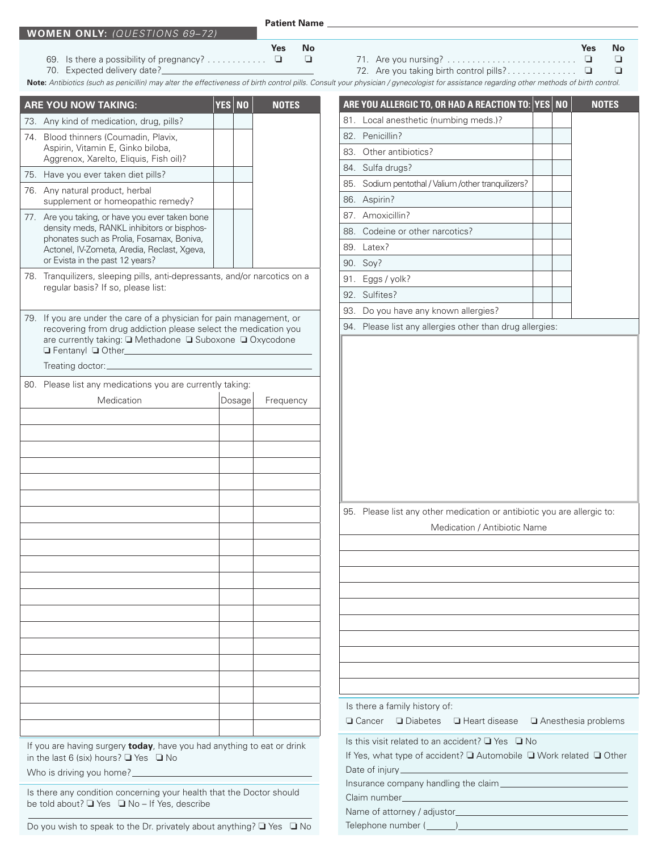**Patient Name**

- 69. Is there a possibility of pregnancy? . . . . . . . . . .  $\Box$   $\Box$
- 70. Expected delivery date?
- **Yes No Yes No** 71. Are you nursing?. . . o o 72. Are you taking birth control pills?. . . o o

**Note:** *Antibiotics (such as penicillin) may alter the effectiveness of birth control pills. Consult your physician / gynecologist for assistance regarding other methods of birth control.*

|     | <b>ARE YOU NOW TAKING:</b>                                                                                                                                                                                               | <b>YES</b> | <b>NO</b> | <b>NOTES</b> |
|-----|--------------------------------------------------------------------------------------------------------------------------------------------------------------------------------------------------------------------------|------------|-----------|--------------|
|     | 73. Any kind of medication, drug, pills?                                                                                                                                                                                 |            |           |              |
| 74. | Blood thinners (Coumadin, Plavix,<br>Aspirin, Vitamin E, Ginko biloba,<br>Aggrenox, Xarelto, Eliquis, Fish oil)?                                                                                                         |            |           |              |
| 75. | Have you ever taken diet pills?                                                                                                                                                                                          |            |           |              |
| 76. | Any natural product, herbal<br>supplement or homeopathic remedy?                                                                                                                                                         |            |           |              |
| 77. | Are you taking, or have you ever taken bone<br>density meds, RANKL inhibitors or bisphos-<br>phonates such as Prolia, Fosamax, Boniva,<br>Actonel, IV-Zometa, Aredia, Reclast, Xgeva,<br>or Evista in the past 12 years? |            |           |              |
|     | 78. Tranquilizers, sleeping pills, anti-depressants, and/or narcotics on a<br>regular basis? If so, please list:                                                                                                         |            |           |              |
| 79. | If you are under the care of a physician for pain management, or<br>recovering from drug addiction please select the medication you<br>are currently taking: ■ Methadone ■ Suboxone ■ Oxycodone<br>Fentanyl Q Other_     |            |           |              |
|     | Treating doctor:_                                                                                                                                                                                                        |            |           |              |
|     | 80. Please list any medications you are currently taking:                                                                                                                                                                |            |           |              |
|     | Medication                                                                                                                                                                                                               |            | Dosage    | Frequency    |
|     |                                                                                                                                                                                                                          |            |           |              |
|     |                                                                                                                                                                                                                          |            |           |              |
|     |                                                                                                                                                                                                                          |            |           |              |
|     |                                                                                                                                                                                                                          |            |           |              |
|     |                                                                                                                                                                                                                          |            |           |              |
|     |                                                                                                                                                                                                                          |            |           |              |
|     |                                                                                                                                                                                                                          |            |           |              |
|     |                                                                                                                                                                                                                          |            |           |              |
|     |                                                                                                                                                                                                                          |            |           |              |
|     |                                                                                                                                                                                                                          |            |           |              |
|     |                                                                                                                                                                                                                          |            |           |              |
|     |                                                                                                                                                                                                                          |            |           |              |
|     |                                                                                                                                                                                                                          |            |           |              |
|     |                                                                                                                                                                                                                          |            |           |              |
|     |                                                                                                                                                                                                                          |            |           |              |
|     |                                                                                                                                                                                                                          |            |           |              |
|     |                                                                                                                                                                                                                          |            |           |              |
|     |                                                                                                                                                                                                                          |            |           |              |
|     |                                                                                                                                                                                                                          |            |           |              |
|     |                                                                                                                                                                                                                          |            |           |              |
|     | If you are having surgery today, have you had anything to eat or drink<br>in the last 6 (six) hours? $\Box$ Yes $\Box$ No<br>Who is driving you home?                                                                    |            |           |              |

Is this visit related to an accident? ❏ Yes ❏ No If Yes, what type of accident? ❏ Automobile ❏ Work related ❏ Other Date of injury Insurance company handling the claim Claim number Name of attorney / adjustor Telephone number (\_\_\_\_\_\_\_) Is there a family history of:  $\Box$  Cancer  $\Box$  Diabetes  $\Box$  Heart disease  $\Box$  Anesthesia problems **ARE YOU ALLERGIC TO, OR HAD A REACTION TO: YES NO NOTES** 81. Local anesthetic (numbing meds.)? 82. Penicillin? 83. Other antibiotics? 84. Sulfa drugs? 85. Sodium pentothal / Valium /other tranquilizers? 86. Aspirin? 87. Amoxicillin? 88. Codeine or other narcotics? 89. Latex? 90. Soy? 91. Eggs / yolk? 92. Sulfites? 93. Do you have any known allergies? 94. Please list any allergies other than drug allergies: 95. Please list any other medication or antibiotic you are allergic to: Medication / Antibiotic Name

Do you wish to speak to the Dr. privately about anything? ❏ Yes ❏ No

Is there any condition concerning your health that the Doctor should

be told about? ❏ Yes ❏ No – If Yes, describe